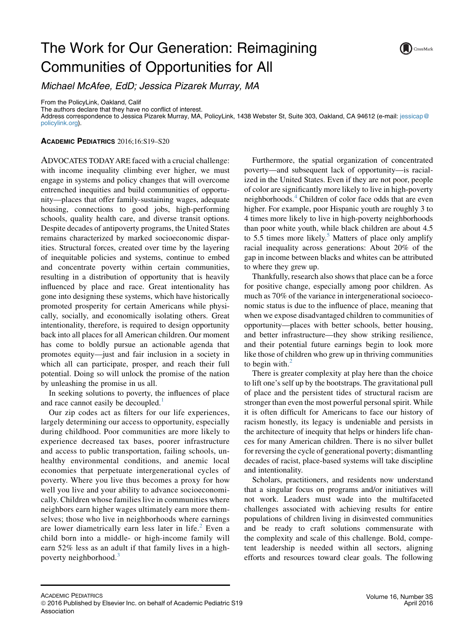## The Work for Our Generation: Reimagining Communities of Opportunities for All

Michael McAfee, EdD; Jessica Pizarek Murray, MA

From the PolicyLink, Oakland, Calif

The authors declare that they have no conflict of interest.

Address correspondence to Jessica Pizarek Murray, MA, PolicyLink, 1438 Webster St, Suite 303, Oakland, CA 94612 (e-mail: [jessicap@](mailto:jessicap@policylink.org) [policylink.org](mailto:jessicap@policylink.org)).

## ACADEMIC PEDIATRICS 2016;16:S19–S20

ADVOCATES TODAYARE faced with a crucial challenge: with income inequality climbing ever higher, we must engage in systems and policy changes that will overcome entrenched inequities and build communities of opportunity—places that offer family-sustaining wages, adequate housing, connections to good jobs, high-performing schools, quality health care, and diverse transit options. Despite decades of antipoverty programs, the United States remains characterized by marked socioeconomic disparities. Structural forces, created over time by the layering of inequitable policies and systems, continue to embed and concentrate poverty within certain communities, resulting in a distribution of opportunity that is heavily influenced by place and race. Great intentionality has gone into designing these systems, which have historically promoted prosperity for certain Americans while physically, socially, and economically isolating others. Great intentionality, therefore, is required to design opportunity back into all places for all American children. Our moment has come to boldly pursue an actionable agenda that promotes equity—just and fair inclusion in a society in which all can participate, prosper, and reach their full potential. Doing so will unlock the promise of the nation by unleashing the promise in us all.

In seeking solutions to poverty, the influences of place and race cannot easily be decoupled.<sup>[1](#page-1-0)</sup>

Our zip codes act as filters for our life experiences, largely determining our access to opportunity, especially during childhood. Poor communities are more likely to experience decreased tax bases, poorer infrastructure and access to public transportation, failing schools, unhealthy environmental conditions, and anemic local economies that perpetuate intergenerational cycles of poverty. Where you live thus becomes a proxy for how well you live and your ability to advance socioeconomically. Children whose families live in communities where neighbors earn higher wages ultimately earn more themselves; those who live in neighborhoods where earnings are lower diametrically earn less later in life. $<sup>2</sup>$  $<sup>2</sup>$  $<sup>2</sup>$  Even a</sup> child born into a middle- or high-income family will earn 52% less as an adult if that family lives in a high-poverty neighborhood.<sup>[3](#page-1-0)</sup>

Furthermore, the spatial organization of concentrated poverty—and subsequent lack of opportunity—is racialized in the United States. Even if they are not poor, people of color are significantly more likely to live in high-poverty neighborhoods.<sup>[4](#page-1-0)</sup> Children of color face odds that are even higher. For example, poor Hispanic youth are roughly 3 to 4 times more likely to live in high-poverty neighborhoods than poor white youth, while black children are about 4.5 to [5](#page-1-0).5 times more likely.<sup>5</sup> Matters of place only amplify racial inequality across generations: About 20% of the gap in income between blacks and whites can be attributed to where they grew up.

Thankfully, research also shows that place can be a force for positive change, especially among poor children. As much as 70% of the variance in intergenerational socioeconomic status is due to the influence of place, meaning that when we expose disadvantaged children to communities of opportunity—places with better schools, better housing, and better infrastructure—they show striking resilience, and their potential future earnings begin to look more like those of children who grew up in thriving communities to begin with. $<sup>2</sup>$  $<sup>2</sup>$  $<sup>2</sup>$ </sup>

There is greater complexity at play here than the choice to lift one's self up by the bootstraps. The gravitational pull of place and the persistent tides of structural racism are stronger than even the most powerful personal spirit. While it is often difficult for Americans to face our history of racism honestly, its legacy is undeniable and persists in the architecture of inequity that helps or hinders life chances for many American children. There is no silver bullet for reversing the cycle of generational poverty; dismantling decades of racist, place-based systems will take discipline and intentionality.

Scholars, practitioners, and residents now understand that a singular focus on programs and/or initiatives will not work. Leaders must wade into the multifaceted challenges associated with achieving results for entire populations of children living in disinvested communities and be ready to craft solutions commensurate with the complexity and scale of this challenge. Bold, competent leadership is needed within all sectors, aligning efforts and resources toward clear goals. The following